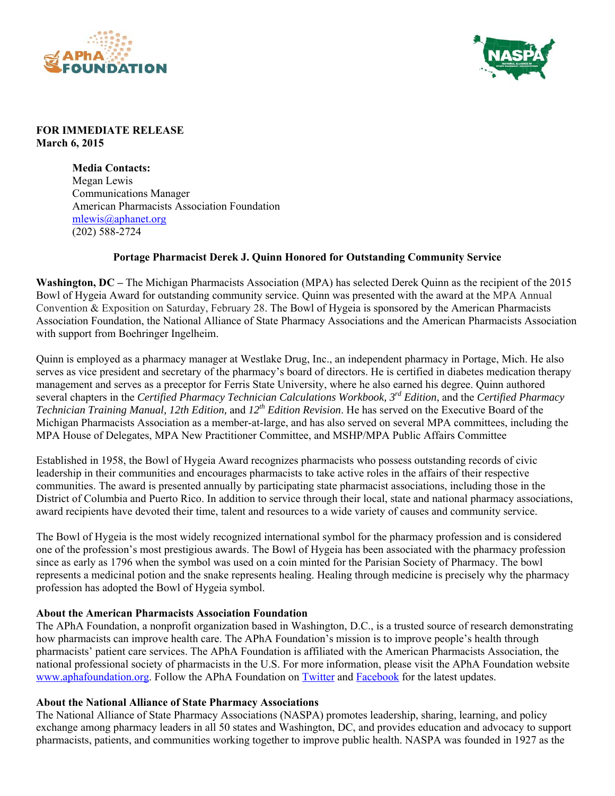



## **FOR IMMEDIATE RELEASE March 6, 2015**

**Media Contacts:**  Megan Lewis Communications Manager American Pharmacists Association Foundation mlewis@aphanet.org (202) 588-2724

## **Portage Pharmacist Derek J. Quinn Honored for Outstanding Community Service**

**Washington, DC –** The Michigan Pharmacists Association (MPA) has selected Derek Quinn as the recipient of the 2015 Bowl of Hygeia Award for outstanding community service. Quinn was presented with the award at the MPA Annual Convention & Exposition on Saturday, February 28. The Bowl of Hygeia is sponsored by the American Pharmacists Association Foundation, the National Alliance of State Pharmacy Associations and the American Pharmacists Association with support from Boehringer Ingelheim.

Quinn is employed as a pharmacy manager at Westlake Drug, Inc., an independent pharmacy in Portage, Mich. He also serves as vice president and secretary of the pharmacy's board of directors. He is certified in diabetes medication therapy management and serves as a preceptor for Ferris State University, where he also earned his degree. Quinn authored several chapters in the *Certified Pharmacy Technician Calculations Workbook, 3rd Edition*, and the *Certified Pharmacy Technician Training Manual, 12th Edition,* and *12th Edition Revision*. He has served on the Executive Board of the Michigan Pharmacists Association as a member-at-large, and has also served on several MPA committees, including the MPA House of Delegates, MPA New Practitioner Committee, and MSHP/MPA Public Affairs Committee

Established in 1958, the Bowl of Hygeia Award recognizes pharmacists who possess outstanding records of civic leadership in their communities and encourages pharmacists to take active roles in the affairs of their respective communities. The award is presented annually by participating state pharmacist associations, including those in the District of Columbia and Puerto Rico. In addition to service through their local, state and national pharmacy associations, award recipients have devoted their time, talent and resources to a wide variety of causes and community service.

The Bowl of Hygeia is the most widely recognized international symbol for the pharmacy profession and is considered one of the profession's most prestigious awards. The Bowl of Hygeia has been associated with the pharmacy profession since as early as 1796 when the symbol was used on a coin minted for the Parisian Society of Pharmacy. The bowl represents a medicinal potion and the snake represents healing. Healing through medicine is precisely why the pharmacy profession has adopted the Bowl of Hygeia symbol.

## **About the American Pharmacists Association Foundation**

The APhA Foundation, a nonprofit organization based in Washington, D.C., is a trusted source of research demonstrating how pharmacists can improve health care. The APhA Foundation's mission is to improve people's health through pharmacists' patient care services. The APhA Foundation is affiliated with the American Pharmacists Association, the national professional society of pharmacists in the U.S. For more information, please visit the APhA Foundation website www.aphafoundation.org. Follow the APhA Foundation on Twitter and Facebook for the latest updates.

## **About the National Alliance of State Pharmacy Associations**

The National Alliance of State Pharmacy Associations (NASPA) promotes leadership, sharing, learning, and policy exchange among pharmacy leaders in all 50 states and Washington, DC, and provides education and advocacy to support pharmacists, patients, and communities working together to improve public health. NASPA was founded in 1927 as the